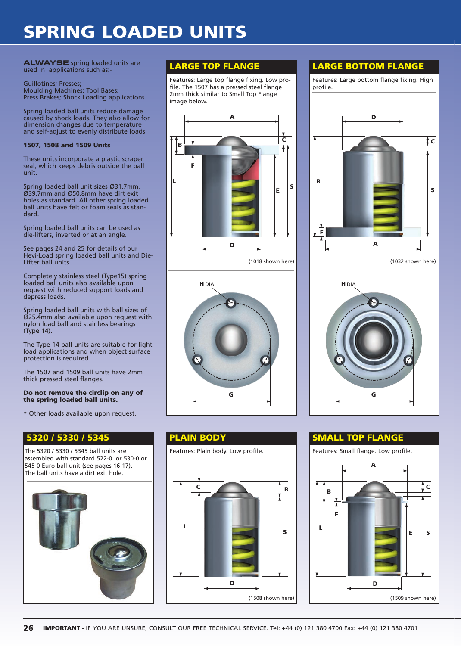# **SPRING LOADED UNITS**

**ALWAYSE** spring loaded units are used in applications such as:-

Guillotines; Presses; Moulding Machines; Tool Bases; Press Brakes; Shock Loading applications.

Spring loaded ball units reduce damage caused by shock loads. They also allow for dimension changes due to temperature and self-adjust to evenly distribute loads.

### **1507, 1508 and 1509 Units**

These units incorporate a plastic scraper seal, which keeps debris outside the ball unit.

Spring loaded ball unit sizes Ø31.7mm, Ø39.7mm and Ø50.8mm have dirt exit holes as standard. All other spring loaded ball units have felt or foam seals as standard.

Spring loaded ball units can be used as die-lifters, inverted or at an angle.

See pages 24 and 25 for details of our Hevi-Load spring loaded ball units and Die-Lifter ball units.

Completely stainless steel (Type15) spring loaded ball units also available upon request with reduced support loads and depress loads.

Spring loaded ball units with ball sizes of Ø25.4mm also available upon request with nylon load ball and stainless bearings (Type 14).

The Type 14 ball units are suitable for light load applications and when object surface protection is required.

The 1507 and 1509 ball units have 2mm thick pressed steel flanges.

### **Do not remove the circlip on any of the spring loaded ball units.**

\* Other loads available upon request.

### **5320 / 5330 / 5345**

The 5320 / 5330 / 5345 ball units are assembled with standard 522-0 or 530-0 or 545-0 Euro ball unit (see pages 16-17). The ball units have a dirt exit hole.



Features: Large top flange fixing. Low profile. The 1507 has a pressed steel flange 2mm thick similar to Small Top Flange image below.





# **PLAIN BODY**



## **LARGE TOP FLANGE LARGE BOTTOM FLANGE**

Features: Large bottom flange fixing. High profile. **D C S B**



### **SMALL TOP FLANGE**